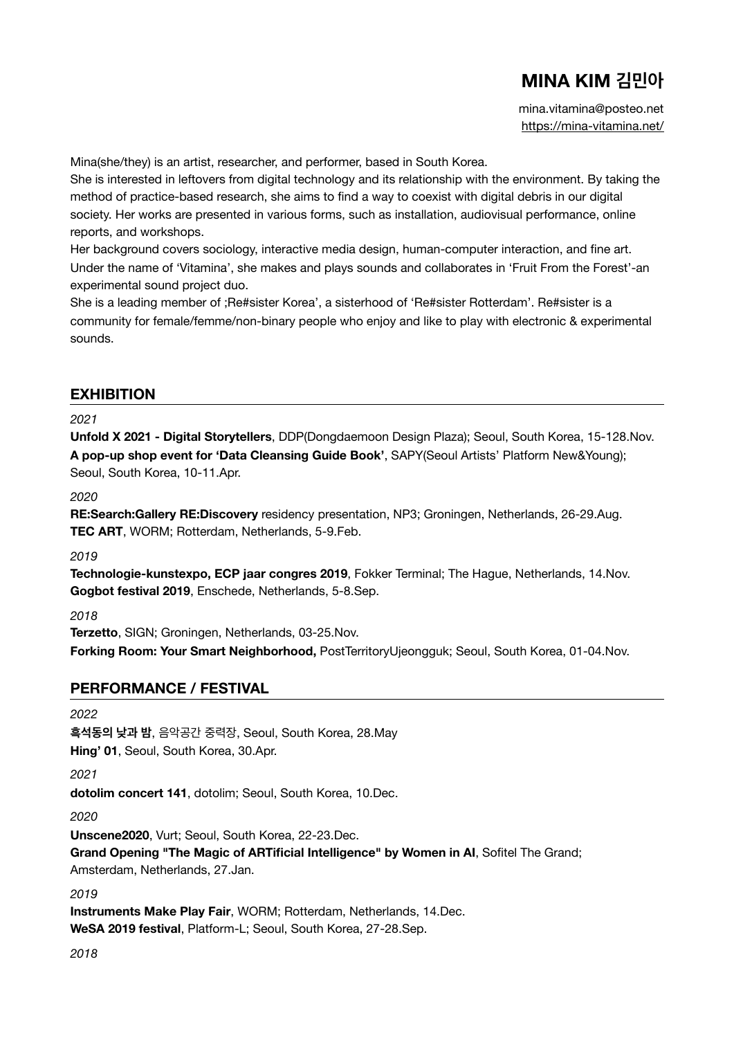# **MINA KIM 김민아**

mina.vitamina@posteo.net [https://mina-vitamina.net/](http://www.mina-vitamina.net)

Mina(she/they) is an artist, researcher, and performer, based in South Korea.

She is interested in leftovers from digital technology and its relationship with the environment. By taking the method of practice-based research, she aims to find a way to coexist with digital debris in our digital society. Her works are presented in various forms, such as installation, audiovisual performance, online reports, and workshops.

Her background covers sociology, interactive media design, human-computer interaction, and fine art. Under the name of 'Vitamina', she makes and plays sounds and collaborates in 'Fruit From the Forest'-an experimental sound project duo.

She is a leading member of ;Re#sister Korea', a sisterhood of 'Re#sister Rotterdam'. Re#sister is a community for female/femme/non-binary people who enjoy and like to play with electronic & experimental sounds.

## **EXHIBITION**

#### *2021*

**Unfold X 2021 - Digital Storytellers**, DDP(Dongdaemoon Design Plaza); Seoul, South Korea, 15-128.Nov. **A pop-up shop event for 'Data Cleansing Guide Book'**, SAPY(Seoul Artists' Platform New&Young); Seoul, South Korea, 10-11.Apr.

*2020* 

**RE:Search:Gallery RE:Discovery** residency presentation, NP3; Groningen, Netherlands, 26-29.Aug. **TEC ART**, WORM; Rotterdam, Netherlands, 5-9.Feb.

*2019* 

**Technologie-kunstexpo, ECP jaar congres 2019**, Fokker Terminal; The Hague, Netherlands, 14.Nov. **Gogbot festival 2019**, Enschede, Netherlands, 5-8.Sep.

*2018* 

**Terzetto**, SIGN; Groningen, Netherlands, 03-25.Nov.

**Forking Room: Your Smart Neighborhood,** PostTerritoryUjeongguk; Seoul, South Korea, 01-04.Nov.

## **PERFORMANCE / FESTIVAL**

*2022* 

**흑석동의 낮과 밤**, 음악공간 중력장, Seoul, South Korea, 28.May **Hing' 01**, Seoul, South Korea, 30.Apr.

*2021* 

**dotolim concert 141**, dotolim; Seoul, South Korea, 10.Dec.

*2020* 

**Unscene2020**, Vurt; Seoul, South Korea, 22-23.Dec.

**Grand Opening "The Magic of ARTificial Intelligence" by Women in AI**, Sofitel The Grand; Amsterdam, Netherlands, 27.Jan.

*2019* 

**Instruments Make Play Fair**, WORM; Rotterdam, Netherlands, 14.Dec. **WeSA 2019 festival**, Platform-L; Seoul, South Korea, 27-28.Sep.

*2018*